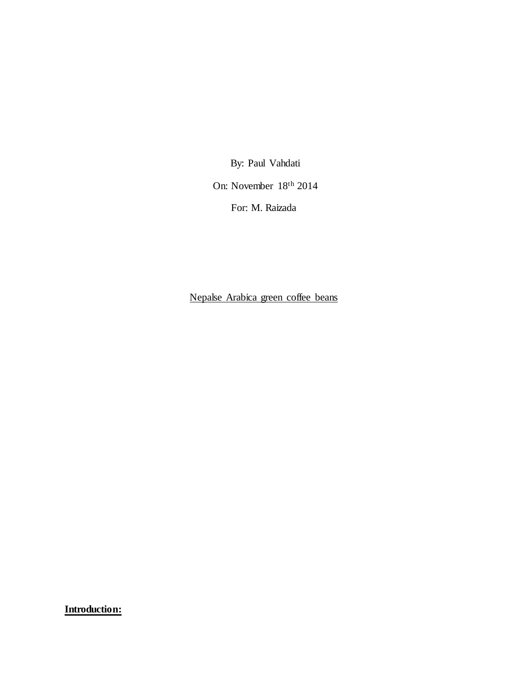By: Paul Vahdati

On: November 18th 2014

For: M. Raizada

Nepalse Arabica green coffee beans

**Introduction:**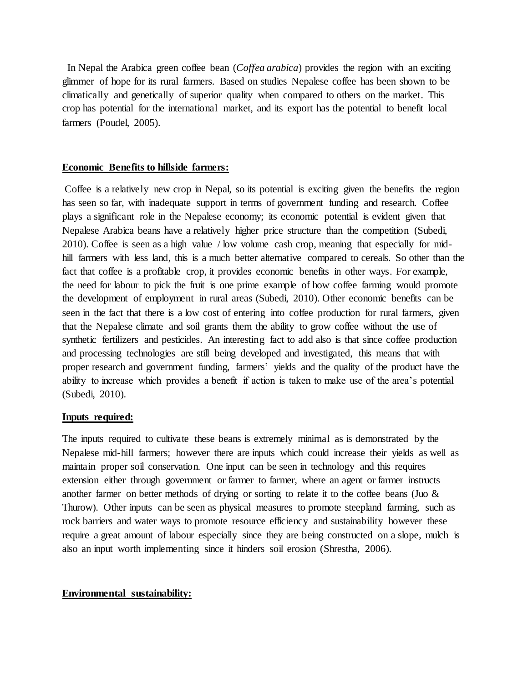In Nepal the Arabica green coffee bean (*Coffea arabica*) provides the region with an exciting glimmer of hope for its rural farmers. Based on studies Nepalese coffee has been shown to be climatically and genetically of superior quality when compared to others on the market. This crop has potential for the international market, and its export has the potential to benefit local farmers (Poudel, 2005).

## **Economic Benefits to hillside farmers:**

Coffee is a relatively new crop in Nepal, so its potential is exciting given the benefits the region has seen so far, with inadequate support in terms of government funding and research. Coffee plays a significant role in the Nepalese economy; its economic potential is evident given that Nepalese Arabica beans have a relatively higher price structure than the competition (Subedi, 2010). Coffee is seen as a high value / low volume cash crop, meaning that especially for midhill farmers with less land, this is a much better alternative compared to cereals. So other than the fact that coffee is a profitable crop, it provides economic benefits in other ways. For example, the need for labour to pick the fruit is one prime example of how coffee farming would promote the development of employment in rural areas (Subedi, 2010). Other economic benefits can be seen in the fact that there is a low cost of entering into coffee production for rural farmers, given that the Nepalese climate and soil grants them the ability to grow coffee without the use of synthetic fertilizers and pesticides. An interesting fact to add also is that since coffee production and processing technologies are still being developed and investigated, this means that with proper research and government funding, farmers' yields and the quality of the product have the ability to increase which provides a benefit if action is taken to make use of the area's potential (Subedi, 2010).

## **Inputs required:**

The inputs required to cultivate these beans is extremely minimal as is demonstrated by the Nepalese mid-hill farmers; however there are inputs which could increase their yields as well as maintain proper soil conservation. One input can be seen in technology and this requires extension either through government or farmer to farmer, where an agent or farmer instructs another farmer on better methods of drying or sorting to relate it to the coffee beans (Juo  $\&$ Thurow). Other inputs can be seen as physical measures to promote steepland farming, such as rock barriers and water ways to promote resource efficiency and sustainability however these require a great amount of labour especially since they are being constructed on a slope, mulch is also an input worth implementing since it hinders soil erosion (Shrestha, 2006).

## **Environmental sustainability:**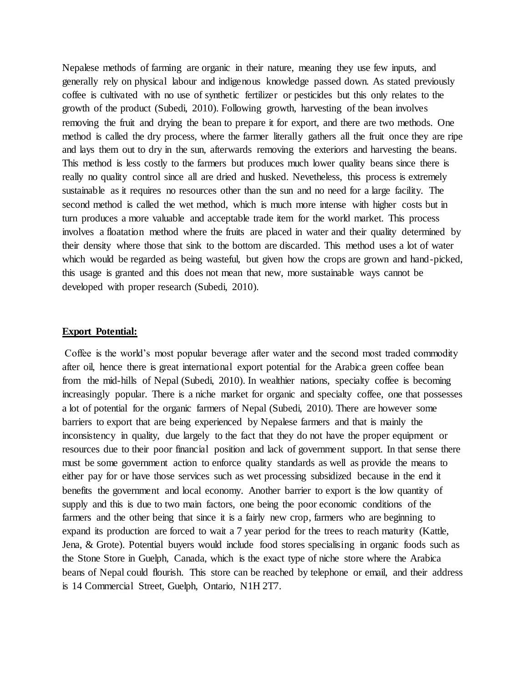Nepalese methods of farming are organic in their nature, meaning they use few inputs, and generally rely on physical labour and indigenous knowledge passed down. As stated previously coffee is cultivated with no use of synthetic fertilizer or pesticides but this only relates to the growth of the product (Subedi, 2010). Following growth, harvesting of the bean involves removing the fruit and drying the bean to prepare it for export, and there are two methods. One method is called the dry process, where the farmer literally gathers all the fruit once they are ripe and lays them out to dry in the sun, afterwards removing the exteriors and harvesting the beans. This method is less costly to the farmers but produces much lower quality beans since there is really no quality control since all are dried and husked. Nevetheless, this process is extremely sustainable as it requires no resources other than the sun and no need for a large facility. The second method is called the wet method, which is much more intense with higher costs but in turn produces a more valuable and acceptable trade item for the world market. This process involves a floatation method where the fruits are placed in water and their quality determined by their density where those that sink to the bottom are discarded. This method uses a lot of water which would be regarded as being wasteful, but given how the crops are grown and hand-picked, this usage is granted and this does not mean that new, more sustainable ways cannot be developed with proper research (Subedi, 2010).

#### **Export Potential:**

Coffee is the world's most popular beverage after water and the second most traded commodity after oil, hence there is great international export potential for the Arabica green coffee bean from the mid-hills of Nepal (Subedi, 2010). In wealthier nations, specialty coffee is becoming increasingly popular. There is a niche market for organic and specialty coffee, one that possesses a lot of potential for the organic farmers of Nepal (Subedi, 2010). There are however some barriers to export that are being experienced by Nepalese farmers and that is mainly the inconsistency in quality, due largely to the fact that they do not have the proper equipment or resources due to their poor financial position and lack of government support. In that sense there must be some government action to enforce quality standards as well as provide the means to either pay for or have those services such as wet processing subsidized because in the end it benefits the government and local economy. Another barrier to export is the low quantity of supply and this is due to two main factors, one being the poor economic conditions of the farmers and the other being that since it is a fairly new crop, farmers who are beginning to expand its production are forced to wait a 7 year period for the trees to reach maturity (Kattle, Jena, & Grote). Potential buyers would include food stores specialising in organic foods such as the Stone Store in Guelph, Canada, which is the exact type of niche store where the Arabica beans of Nepal could flourish. This store can be reached by telephone or email, and their address is 14 Commercial Street, Guelph, Ontario, N1H 2T7.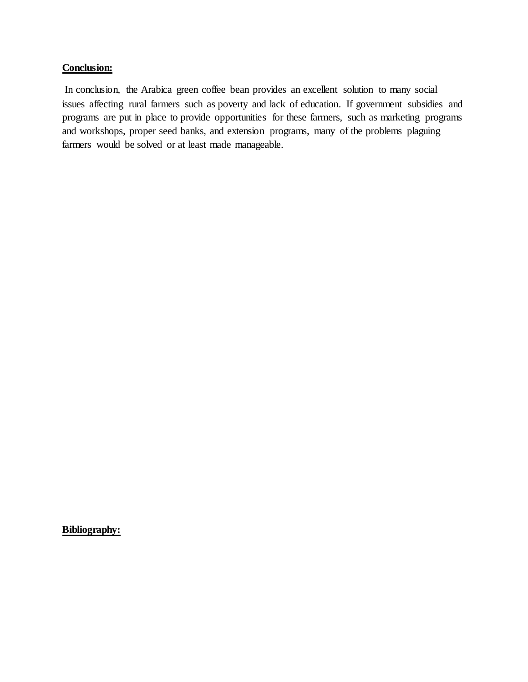# **Conclusion:**

In conclusion, the Arabica green coffee bean provides an excellent solution to many social issues affecting rural farmers such as poverty and lack of education. If government subsidies and programs are put in place to provide opportunities for these farmers, such as marketing programs and workshops, proper seed banks, and extension programs, many of the problems plaguing farmers would be solved or at least made manageable.

**Bibliography:**